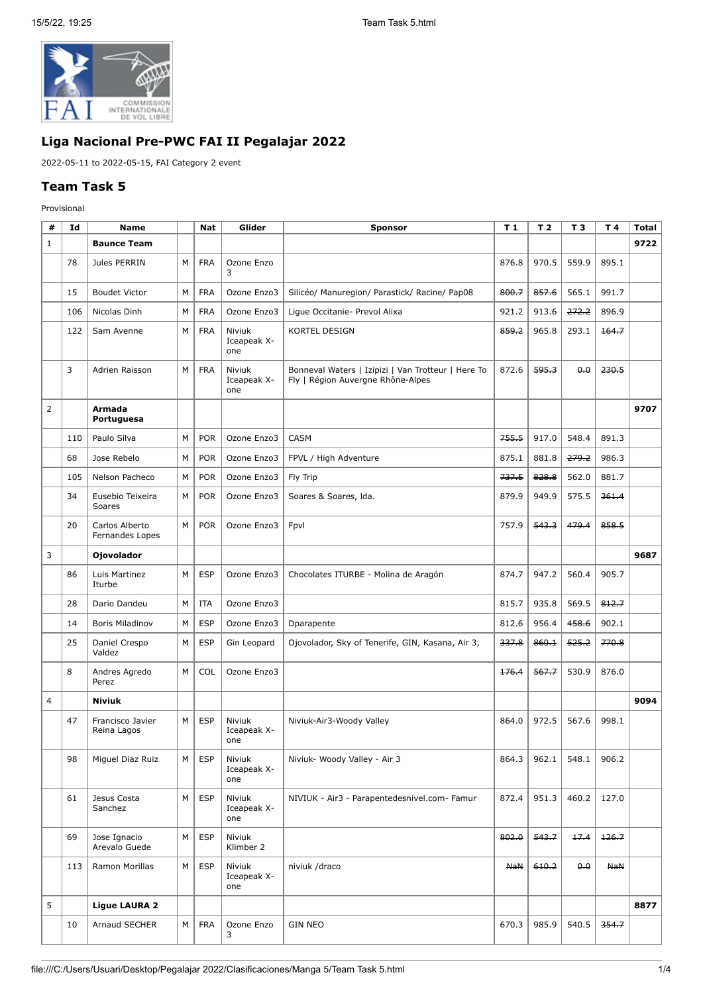

## **Liga Nacional Pre-PWC FAI II Pegalajar 2022**

2022-05-11 to 2022-05-15, FAI Category 2 event

## **Team Task 5**

Provisional

| #              | Id  | <b>Name</b>                       |   | <b>Nat</b> | Glider                       | <b>Sponsor</b>                                                                          | T 1        | T <sub>2</sub> | T <sub>3</sub> | T4         | Total |
|----------------|-----|-----------------------------------|---|------------|------------------------------|-----------------------------------------------------------------------------------------|------------|----------------|----------------|------------|-------|
| $\mathbf{1}$   |     | <b>Baunce Team</b>                |   |            |                              |                                                                                         |            |                |                |            | 9722  |
|                | 78  | Jules PERRIN                      | M | <b>FRA</b> | Ozone Enzo<br>3              |                                                                                         | 876.8      | 970.5          | 559.9          | 895.1      |       |
|                | 15  | <b>Boudet Victor</b>              | М | <b>FRA</b> | Ozone Enzo3                  | Silicéo/ Manuregion/ Parastick/ Racine/ Pap08                                           | 800.7      | 857.6          | 565.1          | 991.7      |       |
|                | 106 | Nicolas Dinh                      | M | <b>FRA</b> | Ozone Enzo3                  | Ligue Occitanie- Prevol Alixa                                                           | 921.2      | 913.6          | 272.2          | 896.9      |       |
|                | 122 | Sam Avenne                        | M | <b>FRA</b> | Niviuk<br>Iceapeak X-<br>one | KORTEL DESIGN                                                                           | 859.2      | 965.8          | 293.1          | 164.7      |       |
|                | 3   | Adrien Raisson                    | М | <b>FRA</b> | Niviuk<br>Iceapeak X-<br>one | Bonneval Waters   Izipizi   Van Trotteur   Here To<br>Fly   Région Auvergne Rhône-Alpes | 872.6      | 595.3          | 0.0            | 230.5      |       |
| $\overline{2}$ |     | Armada<br>Portuguesa              |   |            |                              |                                                                                         |            |                |                |            | 9707  |
|                | 110 | Paulo Silva                       | M | <b>POR</b> | Ozone Enzo3                  | <b>CASM</b>                                                                             | 755.5      | 917.0          | 548.4          | 891.3      |       |
|                | 68  | Jose Rebelo                       | M | <b>POR</b> | Ozone Enzo3                  | FPVL / High Adventure                                                                   | 875.1      | 881.8          | 279.2          | 986.3      |       |
|                | 105 | Nelson Pacheco                    | M | <b>POR</b> | Ozone Enzo3                  | Fly Trip                                                                                | 737.5      | 828.8          | 562.0          | 881.7      |       |
|                | 34  | Eusebio Teixeira<br>Soares        | M | <b>POR</b> | Ozone Enzo3                  | Soares & Soares, Ida.                                                                   | 879.9      | 949.9          | 575.5          | 361.4      |       |
|                | 20  | Carlos Alberto<br>Fernandes Lopes | M | <b>POR</b> | Ozone Enzo3                  | Fpvl                                                                                    | 757.9      | 543.3          | 479.4          | 858.5      |       |
| 3              |     | <b>Ojovolador</b>                 |   |            |                              |                                                                                         |            |                |                |            | 9687  |
|                | 86  | Luis Martinez<br>Iturbe           | M | <b>ESP</b> | Ozone Enzo3                  | Chocolates ITURBE - Molina de Aragón                                                    | 874.7      | 947.2          | 560.4          | 905.7      |       |
|                | 28  | Dario Dandeu                      | М | <b>ITA</b> | Ozone Enzo3                  |                                                                                         | 815.7      | 935.8          | 569.5          | 812.7      |       |
|                | 14  | <b>Boris Miladinov</b>            | M | <b>ESP</b> | Ozone Enzo3                  | Dparapente                                                                              | 812.6      | 956.4          | 458.6          | 902.1      |       |
|                | 25  | Daniel Crespo<br>Valdez           | M | <b>ESP</b> | Gin Leopard                  | Ojovolador, Sky of Tenerife, GIN, Kasana, Air 3,                                        | 337.8      | 860.1          | 525.2          | 770.8      |       |
|                | 8   | Andres Agredo<br>Perez            | M | COL        | Ozone Enzo3                  |                                                                                         | 176.4      | 567.7          | 530.9          | 876.0      |       |
| $\overline{4}$ |     | <b>Niviuk</b>                     |   |            |                              |                                                                                         |            |                |                |            | 9094  |
|                | 47  | Francisco Javier<br>Reina Lagos   | M | <b>ESP</b> | Niviuk<br>Iceapeak X-<br>one | Niviuk-Air3-Woody Valley                                                                | 864.0      | 972.5          | 567.6          | 998.1      |       |
|                | 98  | Miguel Diaz Ruiz                  | М | <b>ESP</b> | Niviuk<br>Iceapeak X-<br>one | Niviuk- Woody Valley - Air 3                                                            | 864.3      | 962.1          | 548.1          | 906.2      |       |
|                | 61  | Jesus Costa<br>Sanchez            | M | <b>ESP</b> | Niviuk<br>Iceapeak X-<br>one | NIVIUK - Air3 - Parapentedesnivel.com- Famur                                            | 872.4      | 951.3          | 460.2          | 127.0      |       |
|                | 69  | Jose Ignacio<br>Arevalo Guede     | M | <b>ESP</b> | Niviuk<br>Klimber 2          |                                                                                         | 802.0      | 543.7          | 17.4           | 126.7      |       |
|                | 113 | Ramon Morillas                    | M | <b>ESP</b> | Niviuk<br>Iceapeak X-<br>one | niviuk /draco                                                                           | <b>NaN</b> | 610.2          | 0.0            | <b>NaN</b> |       |
| 5              |     | <b>Ligue LAURA 2</b>              |   |            |                              |                                                                                         |            |                |                |            | 8877  |
|                | 10  | Arnaud SECHER                     | М | <b>FRA</b> | Ozone Enzo<br>3              | <b>GIN NEO</b>                                                                          | 670.3      | 985.9          | 540.5          | 354.7      |       |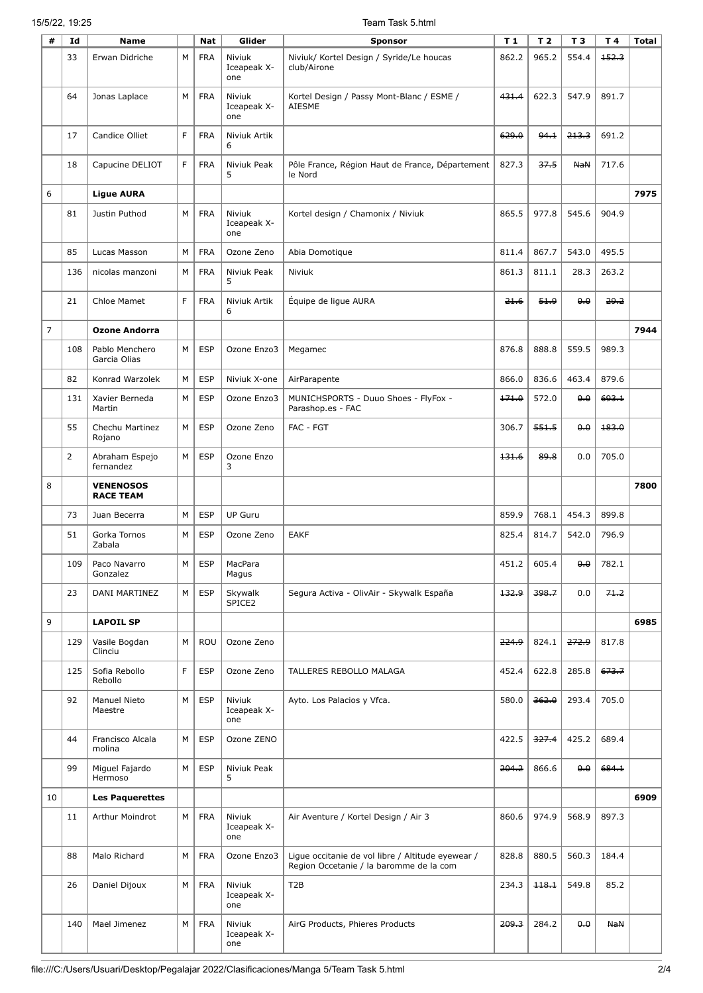## 15/5/22, 19:25 Team Task 5.html

| #              | Id             | Name                                 |              | <b>Nat</b> | Glider                       | <b>Sponsor</b>                                                                               | T <sub>1</sub> | T <sub>2</sub> | T <sub>3</sub> | T 4      | <b>Total</b> |
|----------------|----------------|--------------------------------------|--------------|------------|------------------------------|----------------------------------------------------------------------------------------------|----------------|----------------|----------------|----------|--------------|
|                | 33             | Erwan Didriche                       | M            | <b>FRA</b> | Niviuk<br>Iceapeak X-<br>one | Niviuk/ Kortel Design / Syride/Le houcas<br>club/Airone                                      | 862.2          | 965.2          | 554.4          | 152.3    |              |
|                | 64             | Jonas Laplace                        | М            | <b>FRA</b> | Niviuk<br>Iceapeak X-<br>one | Kortel Design / Passy Mont-Blanc / ESME /<br>AIESME                                          | 431.4          | 622.3          | 547.9          | 891.7    |              |
|                | 17             | Candice Olliet                       | F            | <b>FRA</b> | Niviuk Artik<br>6            |                                                                                              | 629.0          | 94.1           | 213.3          | 691.2    |              |
|                | 18             | Capucine DELIOT                      | F            | <b>FRA</b> | Niviuk Peak<br>5             | Pôle France, Région Haut de France, Département<br>le Nord                                   | 827.3          | 37.5           | <b>NaN</b>     | 717.6    |              |
| 6              |                | <b>Ligue AURA</b>                    |              |            |                              |                                                                                              |                |                |                |          | 7975         |
|                | 81             | Justin Puthod                        | M            | <b>FRA</b> | Niviuk<br>Iceapeak X-<br>one | Kortel design / Chamonix / Niviuk                                                            | 865.5          | 977.8          | 545.6          | 904.9    |              |
|                | 85             | Lucas Masson                         | M            | <b>FRA</b> | Ozone Zeno                   | Abia Domotique                                                                               | 811.4          | 867.7          | 543.0          | 495.5    |              |
|                | 136            | nicolas manzoni                      | M            | <b>FRA</b> | Niviuk Peak<br>5             | Niviuk                                                                                       | 861.3          | 811.1          | 28.3           | 263.2    |              |
|                | 21             | Chloe Mamet                          | $\mathsf{F}$ | <b>FRA</b> | Niviuk Artik<br>6            | Equipe de ligue AURA                                                                         | 21.6           | 51.9           | 0.0            | 29.2     |              |
| $\overline{7}$ |                | <b>Ozone Andorra</b>                 |              |            |                              |                                                                                              |                |                |                |          | 7944         |
|                | 108            | Pablo Menchero<br>Garcia Olias       | M            | ESP        | Ozone Enzo3                  | Megamec                                                                                      | 876.8          | 888.8          | 559.5          | 989.3    |              |
|                | 82             | Konrad Warzolek                      | M            | <b>ESP</b> | Niviuk X-one                 | AirParapente                                                                                 | 866.0          | 836.6          | 463.4          | 879.6    |              |
|                | 131            | Xavier Berneda<br>Martin             | М            | <b>ESP</b> | Ozone Enzo3                  | MUNICHSPORTS - Duuo Shoes - FlyFox -<br>Parashop.es - FAC                                    | 171.0          | 572.0          | 0.0            | 693.1    |              |
|                | 55             | Chechu Martinez<br>Rojano            | M            | <b>ESP</b> | Ozone Zeno                   | FAC - FGT                                                                                    | 306.7          | 551.5          | 0.0            | 183.0    |              |
|                | $\overline{2}$ | Abraham Espejo<br>fernandez          | M            | <b>ESP</b> | Ozone Enzo<br>3              |                                                                                              | 131.6          | 89.8           | 0.0            | 705.0    |              |
| 8              |                | <b>VENENOSOS</b><br><b>RACE TEAM</b> |              |            |                              |                                                                                              |                |                |                |          | 7800         |
|                | 73             | Juan Becerra                         | М            | <b>ESP</b> | <b>UP Guru</b>               |                                                                                              | 859.9          | 768.1          | 454.3          | 899.8    |              |
|                | 51             | Gorka Tornos<br>Zabala               | М            | <b>ESP</b> | Ozone Zeno                   | <b>EAKF</b>                                                                                  | 825.4          | 814.7          | 542.0          | 796.9    |              |
|                | 109            | Paco Navarro<br>Gonzalez             | м            | <b>ESP</b> | MacPara<br>Magus             |                                                                                              | 451.2          | 605.4          | 0.0            | 782.1    |              |
|                | 23             | DANI MARTINEZ                        | М            | <b>ESP</b> | Skywalk<br>SPICE2            | Segura Activa - OlivAir - Skywalk España                                                     | 132.9          | 398.7          | 0.0            | $71 - 2$ |              |
| 9              |                | <b>LAPOIL SP</b>                     |              |            |                              |                                                                                              |                |                |                |          | 6985         |
|                | 129            | Vasile Bogdan<br>Clinciu             | М            | ROU        | Ozone Zeno                   |                                                                                              | 224.9          | 824.1          | 272.9          | 817.8    |              |
|                | 125            | Sofia Rebollo<br>Rebollo             | F            | <b>ESP</b> | Ozone Zeno                   | TALLERES REBOLLO MALAGA                                                                      | 452.4          | 622.8          | 285.8          | 673.7    |              |
|                | 92             | Manuel Nieto<br>Maestre              | М            | <b>ESP</b> | Niviuk<br>Iceapeak X-<br>one | Ayto. Los Palacios y Vfca.                                                                   | 580.0          | 362.0          | 293.4          | 705.0    |              |
|                | 44             | Francisco Alcala<br>molina           | M            | ESP        | Ozone ZENO                   |                                                                                              | 422.5          | 327.4          | 425.2          | 689.4    |              |
|                | 99             | Miguel Fajardo<br>Hermoso            | М            | <b>ESP</b> | Niviuk Peak<br>5             |                                                                                              | 204.2          | 866.6          | 0.0            | 684.1    |              |
| 10             |                | <b>Les Paquerettes</b>               |              |            |                              |                                                                                              |                |                |                |          | 6909         |
|                | 11             | Arthur Moindrot                      | М            | <b>FRA</b> | Niviuk<br>Iceapeak X-<br>one | Air Aventure / Kortel Design / Air 3                                                         | 860.6          | 974.9          | 568.9          | 897.3    |              |
|                | 88             | Malo Richard                         | М            | <b>FRA</b> | Ozone Enzo3                  | Ligue occitanie de vol libre / Altitude eyewear /<br>Region Occetanie / la baromme de la com | 828.8          | 880.5          | 560.3          | 184.4    |              |
|                | 26             | Daniel Dijoux                        | M            | <b>FRA</b> | Niviuk<br>Iceapeak X-<br>one | T <sub>2</sub> B                                                                             | 234.3          | 118.1          | 549.8          | 85.2     |              |
|                | 140            | Mael Jimenez                         | M            | <b>FRA</b> | Niviuk<br>Iceapeak X-<br>one | AirG Products, Phieres Products                                                              | 209.3          | 284.2          | 0.0            | NaN      |              |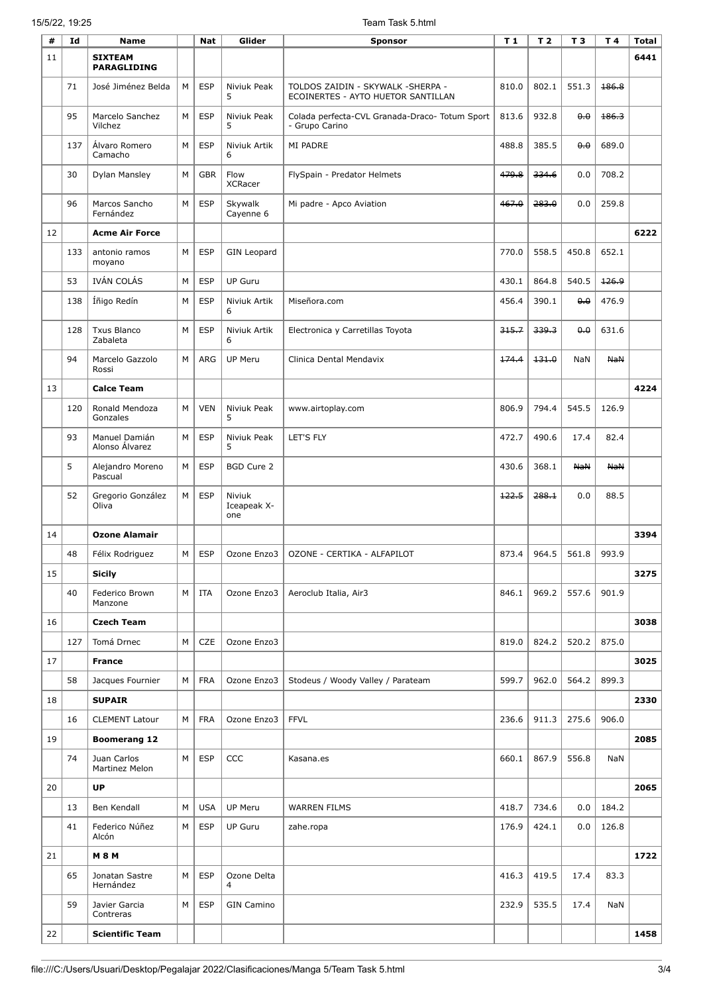## 15/5/22, 19:25 Team Task 5.html

| #  | Id  | <b>Name</b>                          |   | <b>Nat</b> | Glider                       | <b>Sponsor</b>                                                          | T <sub>1</sub> | T <sub>2</sub> | T <sub>3</sub> | T 4        | Total |
|----|-----|--------------------------------------|---|------------|------------------------------|-------------------------------------------------------------------------|----------------|----------------|----------------|------------|-------|
| 11 |     | <b>SIXTEAM</b><br><b>PARAGLIDING</b> |   |            |                              |                                                                         |                |                |                |            | 6441  |
|    | 71  | José Jiménez Belda                   | M | <b>ESP</b> | Niviuk Peak<br>5             | TOLDOS ZAIDIN - SKYWALK -SHERPA -<br>ECOINERTES - AYTO HUETOR SANTILLAN | 810.0          | 802.1          | 551.3          | 186.8      |       |
|    | 95  | Marcelo Sanchez<br>Vilchez           | M | <b>ESP</b> | Niviuk Peak<br>5             | Colada perfecta-CVL Granada-Draco- Totum Sport<br>- Grupo Carino        | 813.6          | 932.8          | 0.0            | 186.3      |       |
|    | 137 | Álvaro Romero<br>Camacho             | M | <b>ESP</b> | Niviuk Artik<br>6            | MI PADRE                                                                | 488.8          | 385.5          | 0.0            | 689.0      |       |
|    | 30  | Dylan Mansley                        | М | <b>GBR</b> | Flow<br><b>XCRacer</b>       | FlySpain - Predator Helmets                                             | 479.8          | 334.6          | 0.0            | 708.2      |       |
|    | 96  | Marcos Sancho<br>Fernández           | M | <b>ESP</b> | Skywalk<br>Cayenne 6         | Mi padre - Apco Aviation                                                | 467.0          | 283.0          | 0.0            | 259.8      |       |
| 12 |     | <b>Acme Air Force</b>                |   |            |                              |                                                                         |                |                |                |            | 6222  |
|    | 133 | antonio ramos<br>moyano              | М | <b>ESP</b> | <b>GIN Leopard</b>           |                                                                         | 770.0          | 558.5          | 450.8          | 652.1      |       |
|    | 53  | IVÁN COLÁS                           | М | ESP        | <b>UP Guru</b>               |                                                                         | 430.1          | 864.8          | 540.5          | 126.9      |       |
|    | 138 | Íñigo Redín                          | M | <b>ESP</b> | Niviuk Artik<br>6            | Miseñora.com                                                            | 456.4          | 390.1          | 0.0            | 476.9      |       |
|    | 128 | <b>Txus Blanco</b><br>Zabaleta       | М | <b>ESP</b> | Niviuk Artik<br>6            | Electronica y Carretillas Toyota                                        | 315.7          | 339.3          | 0.0            | 631.6      |       |
|    | 94  | Marcelo Gazzolo<br>Rossi             | M | ARG        | <b>UP Meru</b>               | Clinica Dental Mendavix                                                 | 174.4          | 431.0          | NaN            | <b>NaN</b> |       |
| 13 |     | <b>Calce Team</b>                    |   |            |                              |                                                                         |                |                |                |            | 4224  |
|    | 120 | Ronald Mendoza<br>Gonzales           | М | <b>VEN</b> | Niviuk Peak<br>5             | www.airtoplay.com                                                       | 806.9          | 794.4          | 545.5          | 126.9      |       |
|    | 93  | Manuel Damián<br>Alonso Álvarez      | M | <b>ESP</b> | Niviuk Peak<br>5             | LET'S FLY                                                               | 472.7          | 490.6          | 17.4           | 82.4       |       |
|    | 5   | Alejandro Moreno<br>Pascual          | M | <b>ESP</b> | <b>BGD Cure 2</b>            |                                                                         | 430.6          | 368.1          | <b>NaN</b>     | <b>NaN</b> |       |
|    | 52  | Gregorio González<br>Oliva           | M | <b>ESP</b> | Niviuk<br>Iceapeak X-<br>one |                                                                         | 422.5          | 288.1          | 0.0            | 88.5       |       |
| 14 |     | <b>Ozone Alamair</b>                 |   |            |                              |                                                                         |                |                |                |            | 3394  |
|    | 48  | Félix Rodriguez                      | M | <b>ESP</b> | Ozone Enzo3                  | OZONE - CERTIKA - ALFAPILOT                                             | 873.4          | 964.5          | 561.8          | 993.9      |       |
| 15 |     | <b>Sicily</b>                        |   |            |                              |                                                                         |                |                |                |            | 3275  |
|    | 40  | Federico Brown<br>Manzone            | M | ITA        | Ozone Enzo3                  | Aeroclub Italia, Air3                                                   | 846.1          | 969.2          | 557.6          | 901.9      |       |
| 16 |     | <b>Czech Team</b>                    |   |            |                              |                                                                         |                |                |                |            | 3038  |
|    | 127 | Tomá Drnec                           | M | <b>CZE</b> | Ozone Enzo3                  |                                                                         | 819.0          | 824.2          | 520.2          | 875.0      |       |
| 17 |     | <b>France</b>                        |   |            |                              |                                                                         |                |                |                |            | 3025  |
|    | 58  | Jacques Fournier                     | M | <b>FRA</b> | Ozone Enzo3                  | Stodeus / Woody Valley / Parateam                                       | 599.7          | 962.0          | 564.2          | 899.3      |       |
| 18 |     | <b>SUPAIR</b>                        |   |            |                              |                                                                         |                |                |                |            | 2330  |
|    | 16  | <b>CLEMENT Latour</b>                | M | <b>FRA</b> | Ozone Enzo3                  | <b>FFVL</b>                                                             | 236.6          | 911.3          | 275.6          | 906.0      |       |
| 19 |     | <b>Boomerang 12</b>                  |   |            |                              |                                                                         |                |                |                |            | 2085  |
|    | 74  | Juan Carlos<br>Martinez Melon        | M | <b>ESP</b> | CCC                          | Kasana.es                                                               | 660.1          | 867.9          | 556.8          | <b>NaN</b> |       |
| 20 |     | UP                                   |   |            |                              |                                                                         |                |                |                |            | 2065  |
|    | 13  | Ben Kendall                          | М | <b>USA</b> | <b>UP Meru</b>               | WARREN FILMS                                                            | 418.7          | 734.6          | 0.0            | 184.2      |       |
|    | 41  | Federico Núñez<br>Alcón              | М | <b>ESP</b> | <b>UP Guru</b>               | zahe.ropa                                                               | 176.9          | 424.1          | 0.0            | 126.8      |       |
| 21 |     | <b>M 8 M</b>                         |   |            |                              |                                                                         |                |                |                |            | 1722  |
|    | 65  | Jonatan Sastre<br>Hernández          | М | <b>ESP</b> | Ozone Delta<br>4             |                                                                         | 416.3          | 419.5          | 17.4           | 83.3       |       |
|    | 59  | Javier Garcia<br>Contreras           | М | <b>ESP</b> | <b>GIN Camino</b>            |                                                                         | 232.9          | 535.5          | 17.4           | NaN        |       |
| 22 |     | <b>Scientific Team</b>               |   |            |                              |                                                                         |                |                |                |            | 1458  |